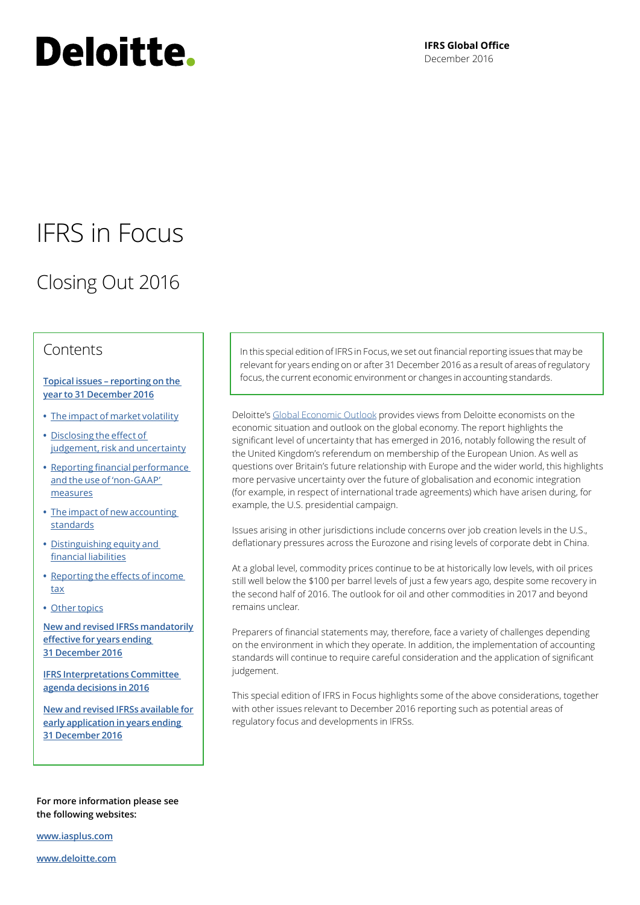# Deloitte.

**IFRS Global Office** December 2016

## IFRS in Focus

## Closing Out 2016

### Contents

#### **[Topical issues – reporting on the](#page-1-0)  [year to 31 December 2016](#page-1-0)**

- **•** [The impact of market volatility](#page-1-0)
- **•** [Disclosing the effect of](#page-2-0)  [judgement, risk and uncertainty](#page-2-0)
- **•** Reporting financial performance and the use of 'non-GAAP' measures
- **•** [The impact of new accounting](#page-5-0)  [standards](#page-5-0)
- **•** [Distinguishing equity and](#page-6-0)  [financial liabilities](#page-6-0)
- **•** [Reporting the effects of income](#page-8-0)  [tax](#page-8-0)
- **•** [Other topics](#page-10-0)

**[New and revised IFRSs mandatorily](#page-11-0)  [effective for years ending](#page-11-0)  [31 December 2016](#page-11-0)**

**[IFRS Interpretations Committee](#page-14-0)  [agenda decisions in 2016](#page-14-0)**

**[New and revised IFRSs available for](#page-15-0)  [early application in years ending](#page-15-0)  [31 December 2016](#page-15-0)**

**For more information please see the following websites:**

**[www.iasplus.com](http://www.iasplus.com)**

**[www.deloitte.com](http://www.deloitte.com)**

In this special edition of IFRS in Focus, we set out financial reporting issues that may be relevant for years ending on or after 31 December 2016 as a result of areas of regulatory focus, the current economic environment or changes in accounting standards.

Deloitte's [Global Economic Outlook](https://dupress.deloitte.com/dup-us-en/economy/global-economic-outlook/2016/q3.html) provides views from Deloitte economists on the economic situation and outlook on the global economy. The report highlights the significant level of uncertainty that has emerged in 2016, notably following the result of the United Kingdom's referendum on membership of the European Union. As well as questions over Britain's future relationship with Europe and the wider world, this highlights more pervasive uncertainty over the future of globalisation and economic integration (for example, in respect of international trade agreements) which have arisen during, for example, the U.S. presidential campaign.

Issues arising in other jurisdictions include concerns over job creation levels in the U.S., deflationary pressures across the Eurozone and rising levels of corporate debt in China.

At a global level, commodity prices continue to be at historically low levels, with oil prices still well below the \$100 per barrel levels of just a few years ago, despite some recovery in the second half of 2016. The outlook for oil and other commodities in 2017 and beyond remains unclear.

Preparers of financial statements may, therefore, face a variety of challenges depending on the environment in which they operate. In addition, the implementation of accounting standards will continue to require careful consideration and the application of significant judgement.

This special edition of IFRS in Focus highlights some of the above considerations, together with other issues relevant to December 2016 reporting such as potential areas of regulatory focus and developments in IFRSs.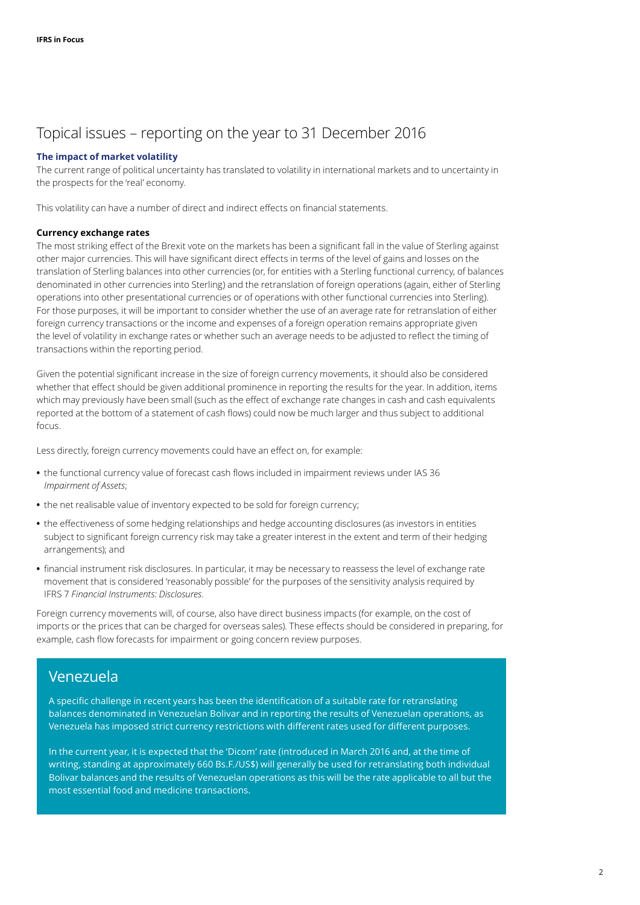## <span id="page-1-0"></span>Topical issues – reporting on the year to 31 December 2016

#### **The impact of market volatility**

The current range of political uncertainty has translated to volatility in international markets and to uncertainty in the prospects for the 'real' economy.

This volatility can have a number of direct and indirect effects on financial statements.

#### **Currency exchange rates**

The most striking effect of the Brexit vote on the markets has been a significant fall in the value of Sterling against other major currencies. This will have significant direct effects in terms of the level of gains and losses on the translation of Sterling balances into other currencies (or, for entities with a Sterling functional currency, of balances denominated in other currencies into Sterling) and the retranslation of foreign operations (again, either of Sterling operations into other presentational currencies or of operations with other functional currencies into Sterling). For those purposes, it will be important to consider whether the use of an average rate for retranslation of either foreign currency transactions or the income and expenses of a foreign operation remains appropriate given the level of volatility in exchange rates or whether such an average needs to be adjusted to reflect the timing of transactions within the reporting period.

Given the potential significant increase in the size of foreign currency movements, it should also be considered whether that effect should be given additional prominence in reporting the results for the year. In addition, items which may previously have been small (such as the effect of exchange rate changes in cash and cash equivalents reported at the bottom of a statement of cash flows) could now be much larger and thus subject to additional focus.

Less directly, foreign currency movements could have an effect on, for example:

- **•** the functional currency value of forecast cash flows included in impairment reviews under IAS 36 *Impairment of Assets*;
- **•** the net realisable value of inventory expected to be sold for foreign currency;
- **•** the effectiveness of some hedging relationships and hedge accounting disclosures (as investors in entities subject to significant foreign currency risk may take a greater interest in the extent and term of their hedging arrangements); and
- **•** financial instrument risk disclosures. In particular, it may be necessary to reassess the level of exchange rate movement that is considered 'reasonably possible' for the purposes of the sensitivity analysis required by IFRS 7 *Financial Instruments: Disclosures*.

Foreign currency movements will, of course, also have direct business impacts (for example, on the cost of imports or the prices that can be charged for overseas sales). These effects should be considered in preparing, for example, cash flow forecasts for impairment or going concern review purposes.

### Venezuela

A specific challenge in recent years has been the identification of a suitable rate for retranslating balances denominated in Venezuelan Bolivar and in reporting the results of Venezuelan operations, as Venezuela has imposed strict currency restrictions with different rates used for different purposes.

In the current year, it is expected that the 'Dicom' rate (introduced in March 2016 and, at the time of writing, standing at approximately 660 Bs.F./US\$) will generally be used for retranslating both individual Bolivar balances and the results of Venezuelan operations as this will be the rate applicable to all but the most essential food and medicine transactions.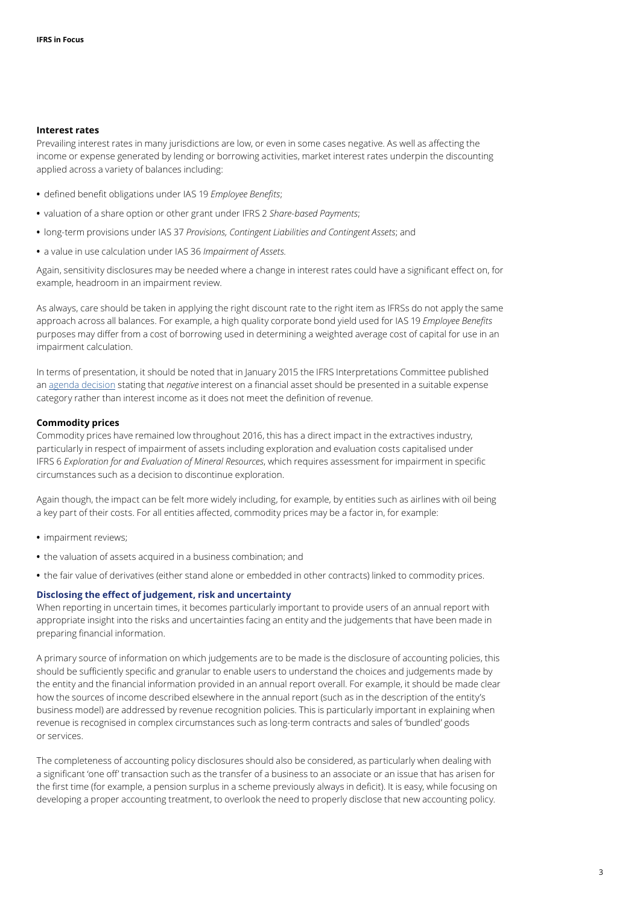#### **Interest rates**

Prevailing interest rates in many jurisdictions are low, or even in some cases negative. As well as affecting the income or expense generated by lending or borrowing activities, market interest rates underpin the discounting applied across a variety of balances including:

- **•** defined benefit obligations under IAS 19 *Employee Benefits*;
- **•** valuation of a share option or other grant under IFRS 2 *Share-based Payments*;
- **•** long-term provisions under IAS 37 *Provisions, Contingent Liabilities and Contingent Assets*; and
- **•** a value in use calculation under IAS 36 *Impairment of Assets*.

Again, sensitivity disclosures may be needed where a change in interest rates could have a significant effect on, for example, headroom in an impairment review.

As always, care should be taken in applying the right discount rate to the right item as IFRSs do not apply the same approach across all balances. For example, a high quality corporate bond yield used for IAS 19 *Employee Benefits* purposes may differ from a cost of borrowing used in determining a weighted average cost of capital for use in an impairment calculation.

In terms of presentation, it should be noted that in January 2015 the IFRS Interpretations Committee published an [agenda decision](http://media.ifrs.org/2015/IFRIC/January/IFRIC-Update-January-2015.html) stating that *negative* interest on a financial asset should be presented in a suitable expense category rather than interest income as it does not meet the definition of revenue.

#### **Commodity prices**

Commodity prices have remained low throughout 2016, this has a direct impact in the extractives industry, particularly in respect of impairment of assets including exploration and evaluation costs capitalised under IFRS 6 *Exploration for and Evaluation of Mineral Resources*, which requires assessment for impairment in specific circumstances such as a decision to discontinue exploration.

Again though, the impact can be felt more widely including, for example, by entities such as airlines with oil being a key part of their costs. For all entities affected, commodity prices may be a factor in, for example:

- **•** impairment reviews;
- **•** the valuation of assets acquired in a business combination; and
- **•** the fair value of derivatives (either stand alone or embedded in other contracts) linked to commodity prices.

#### <span id="page-2-0"></span>**Disclosing the effect of judgement, risk and uncertainty**

When reporting in uncertain times, it becomes particularly important to provide users of an annual report with appropriate insight into the risks and uncertainties facing an entity and the judgements that have been made in preparing financial information.

A primary source of information on which judgements are to be made is the disclosure of accounting policies, this should be sufficiently specific and granular to enable users to understand the choices and judgements made by the entity and the financial information provided in an annual report overall. For example, it should be made clear how the sources of income described elsewhere in the annual report (such as in the description of the entity's business model) are addressed by revenue recognition policies. This is particularly important in explaining when revenue is recognised in complex circumstances such as long-term contracts and sales of 'bundled' goods or services.

The completeness of accounting policy disclosures should also be considered, as particularly when dealing with a significant 'one off' transaction such as the transfer of a business to an associate or an issue that has arisen for the first time (for example, a pension surplus in a scheme previously always in deficit). It is easy, while focusing on developing a proper accounting treatment, to overlook the need to properly disclose that new accounting policy.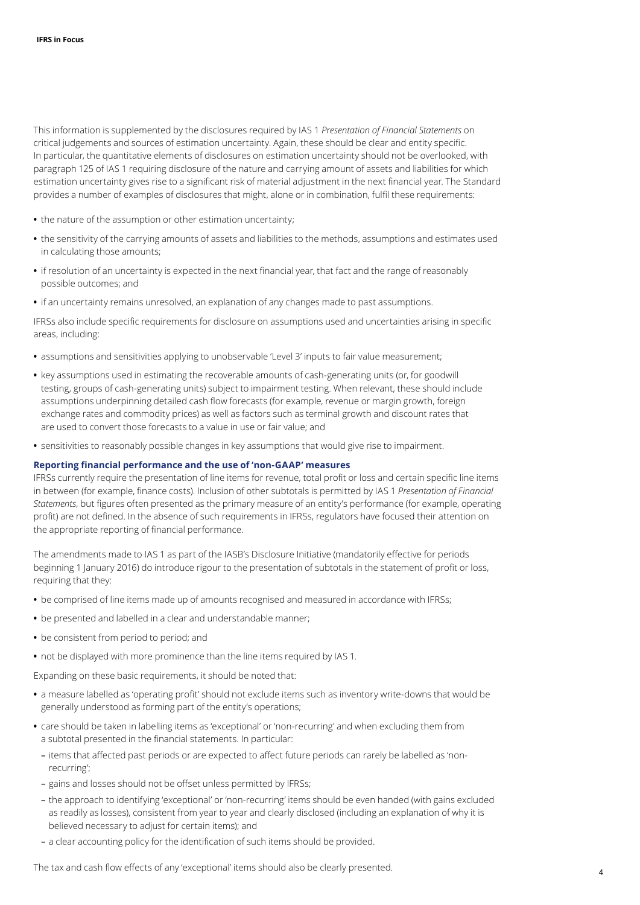This information is supplemented by the disclosures required by IAS 1 *Presentation of Financial Statements* on critical judgements and sources of estimation uncertainty. Again, these should be clear and entity specific. In particular, the quantitative elements of disclosures on estimation uncertainty should not be overlooked, with paragraph 125 of IAS 1 requiring disclosure of the nature and carrying amount of assets and liabilities for which estimation uncertainty gives rise to a significant risk of material adjustment in the next financial year. The Standard provides a number of examples of disclosures that might, alone or in combination, fulfil these requirements:

- **•** the nature of the assumption or other estimation uncertainty;
- **•** the sensitivity of the carrying amounts of assets and liabilities to the methods, assumptions and estimates used in calculating those amounts;
- **•** if resolution of an uncertainty is expected in the next financial year, that fact and the range of reasonably possible outcomes; and
- **•** if an uncertainty remains unresolved, an explanation of any changes made to past assumptions.

IFRSs also include specific requirements for disclosure on assumptions used and uncertainties arising in specific areas, including:

- **•** assumptions and sensitivities applying to unobservable 'Level 3' inputs to fair value measurement;
- **•** key assumptions used in estimating the recoverable amounts of cash-generating units (or, for goodwill testing, groups of cash-generating units) subject to impairment testing. When relevant, these should include assumptions underpinning detailed cash flow forecasts (for example, revenue or margin growth, foreign exchange rates and commodity prices) as well as factors such as terminal growth and discount rates that are used to convert those forecasts to a value in use or fair value; and
- **•** sensitivities to reasonably possible changes in key assumptions that would give rise to impairment.

#### **Reporting financial performance and the use of 'non-GAAP' measures**

IFRSs currently require the presentation of line items for revenue, total profit or loss and certain specific line items in between (for example, finance costs). Inclusion of other subtotals is permitted by IAS 1 *Presentation of Financial Statements*, but figures often presented as the primary measure of an entity's performance (for example, operating profit) are not defined. In the absence of such requirements in IFRSs, regulators have focused their attention on the appropriate reporting of financial performance.

The amendments made to IAS 1 as part of the IASB's Disclosure Initiative (mandatorily effective for periods beginning 1 January 2016) do introduce rigour to the presentation of subtotals in the statement of profit or loss, requiring that they:

- **•** be comprised of line items made up of amounts recognised and measured in accordance with IFRSs;
- **•** be presented and labelled in a clear and understandable manner;
- **•** be consistent from period to period; and
- **•** not be displayed with more prominence than the line items required by IAS 1.

Expanding on these basic requirements, it should be noted that:

- **•** a measure labelled as 'operating profit' should not exclude items such as inventory write-downs that would be generally understood as forming part of the entity's operations;
- **•** care should be taken in labelling items as 'exceptional' or 'non-recurring' and when excluding them from a subtotal presented in the financial statements. In particular:
	- items that affected past periods or are expected to affect future periods can rarely be labelled as 'nonrecurring';
	- gains and losses should not be offset unless permitted by IFRSs;
	- the approach to identifying 'exceptional' or 'non-recurring' items should be even handed (with gains excluded as readily as losses), consistent from year to year and clearly disclosed (including an explanation of why it is believed necessary to adjust for certain items); and
	- a clear accounting policy for the identification of such items should be provided.

The tax and cash flow effects of any 'exceptional' items should also be clearly presented.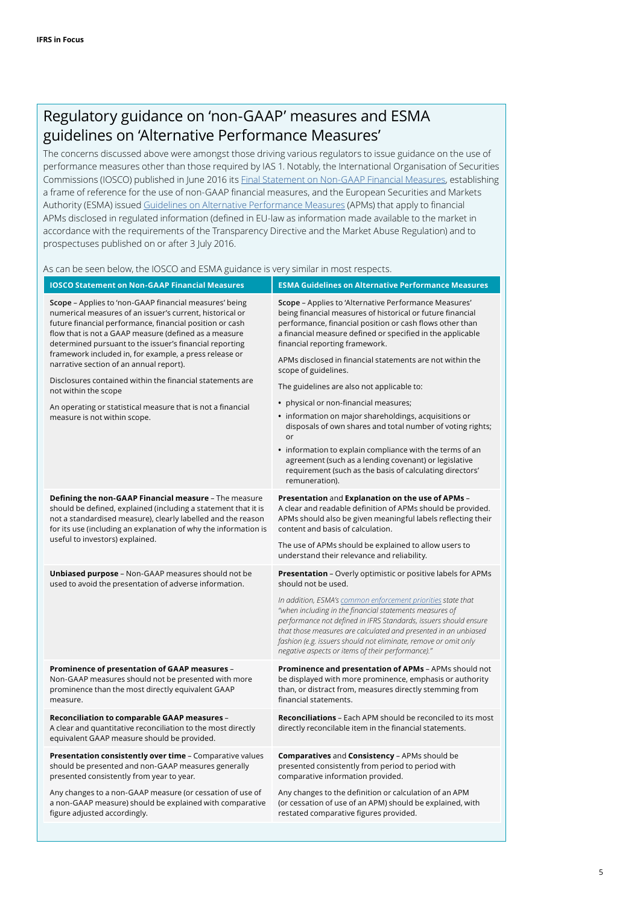## Regulatory guidance on 'non-GAAP' measures and ESMA guidelines on 'Alternative Performance Measures'

The concerns discussed above were amongst those driving various regulators to issue guidance on the use of performance measures other than those required by IAS 1. Notably, the International Organisation of Securities Commissions (IOSCO) published in June 2016 its [Final Statement on Non-GAAP Financial Measures](http://www.iosco.org/library/pubdocs/pdf/IOSCOPD532.pdf), establishing a frame of reference for the use of non-GAAP financial measures, and the European Securities and Markets Authority (ESMA) issued [Guidelines on Alternative Performance Measures](https://www.esma.europa.eu/press-news/esma-news/esma-publishes-final-guidelines-alternative-performance-measures) (APMs) that apply to financial APMs disclosed in regulated information (defined in EU-law as information made available to the market in accordance with the requirements of the Transparency Directive and the Market Abuse Regulation) and to prospectuses published on or after 3 July 2016.

As can be seen below, the IOSCO and ESMA guidance is very similar in most respects.

| <b>IOSCO Statement on Non-GAAP Financial Measures</b>                                                                                                                                                                                                                                                                                                                                                                                                                                        | <b>ESMA Guidelines on Alternative Performance Measures</b>                                                                                                                                                                                                                                                                                                                             |  |
|----------------------------------------------------------------------------------------------------------------------------------------------------------------------------------------------------------------------------------------------------------------------------------------------------------------------------------------------------------------------------------------------------------------------------------------------------------------------------------------------|----------------------------------------------------------------------------------------------------------------------------------------------------------------------------------------------------------------------------------------------------------------------------------------------------------------------------------------------------------------------------------------|--|
| Scope - Applies to 'non-GAAP financial measures' being<br>numerical measures of an issuer's current, historical or<br>future financial performance, financial position or cash<br>flow that is not a GAAP measure (defined as a measure<br>determined pursuant to the issuer's financial reporting<br>framework included in, for example, a press release or<br>narrative section of an annual report).<br>Disclosures contained within the financial statements are<br>not within the scope | Scope - Applies to 'Alternative Performance Measures'<br>being financial measures of historical or future financial<br>performance, financial position or cash flows other than<br>a financial measure defined or specified in the applicable<br>financial reporting framework.                                                                                                        |  |
|                                                                                                                                                                                                                                                                                                                                                                                                                                                                                              | APMs disclosed in financial statements are not within the<br>scope of guidelines.                                                                                                                                                                                                                                                                                                      |  |
|                                                                                                                                                                                                                                                                                                                                                                                                                                                                                              | The guidelines are also not applicable to:                                                                                                                                                                                                                                                                                                                                             |  |
| An operating or statistical measure that is not a financial                                                                                                                                                                                                                                                                                                                                                                                                                                  | • physical or non-financial measures;                                                                                                                                                                                                                                                                                                                                                  |  |
| measure is not within scope.                                                                                                                                                                                                                                                                                                                                                                                                                                                                 | • information on major shareholdings, acquisitions or<br>disposals of own shares and total number of voting rights;<br>or                                                                                                                                                                                                                                                              |  |
|                                                                                                                                                                                                                                                                                                                                                                                                                                                                                              | • information to explain compliance with the terms of an<br>agreement (such as a lending covenant) or legislative<br>requirement (such as the basis of calculating directors'<br>remuneration).                                                                                                                                                                                        |  |
| Defining the non-GAAP Financial measure - The measure<br>should be defined, explained (including a statement that it is<br>not a standardised measure), clearly labelled and the reason<br>for its use (including an explanation of why the information is<br>useful to investors) explained.                                                                                                                                                                                                | Presentation and Explanation on the use of APMs -<br>A clear and readable definition of APMs should be provided.<br>APMs should also be given meaningful labels reflecting their<br>content and basis of calculation.                                                                                                                                                                  |  |
|                                                                                                                                                                                                                                                                                                                                                                                                                                                                                              | The use of APMs should be explained to allow users to<br>understand their relevance and reliability.                                                                                                                                                                                                                                                                                   |  |
| <b>Unbiased purpose</b> - Non-GAAP measures should not be<br>used to avoid the presentation of adverse information.                                                                                                                                                                                                                                                                                                                                                                          | <b>Presentation</b> - Overly optimistic or positive labels for APMs<br>should not be used.                                                                                                                                                                                                                                                                                             |  |
|                                                                                                                                                                                                                                                                                                                                                                                                                                                                                              | In addition, ESMA's common enforcement priorities state that<br>"when including in the financial statements measures of<br>performance not defined in IFRS Standards, issuers should ensure<br>that those measures are calculated and presented in an unbiased<br>fashion (e.g. issuers should not eliminate, remove or omit only<br>negative aspects or items of their performance)." |  |
| Prominence of presentation of GAAP measures -<br>Non-GAAP measures should not be presented with more<br>prominence than the most directly equivalent GAAP<br>measure.                                                                                                                                                                                                                                                                                                                        | Prominence and presentation of APMs - APMs should not<br>be displayed with more prominence, emphasis or authority<br>than, or distract from, measures directly stemming from<br>financial statements.                                                                                                                                                                                  |  |
| <b>Reconciliation to comparable GAAP measures -</b><br>A clear and quantitative reconciliation to the most directly<br>equivalent GAAP measure should be provided.                                                                                                                                                                                                                                                                                                                           | <b>Reconciliations</b> – Each APM should be reconciled to its most<br>directly reconcilable item in the financial statements.                                                                                                                                                                                                                                                          |  |
| Presentation consistently over time - Comparative values<br>should be presented and non-GAAP measures generally<br>presented consistently from year to year.                                                                                                                                                                                                                                                                                                                                 | Comparatives and Consistency - APMs should be<br>presented consistently from period to period with<br>comparative information provided.                                                                                                                                                                                                                                                |  |
| Any changes to a non-GAAP measure (or cessation of use of<br>a non-GAAP measure) should be explained with comparative<br>figure adjusted accordingly.                                                                                                                                                                                                                                                                                                                                        | Any changes to the definition or calculation of an APM<br>(or cessation of use of an APM) should be explained, with<br>restated comparative figures provided.                                                                                                                                                                                                                          |  |
|                                                                                                                                                                                                                                                                                                                                                                                                                                                                                              |                                                                                                                                                                                                                                                                                                                                                                                        |  |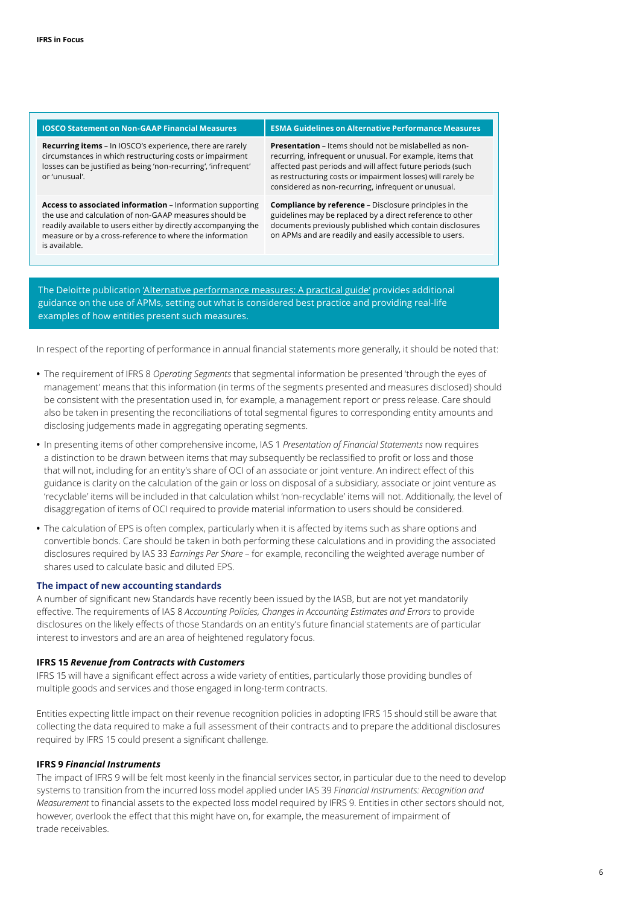| <b>IOSCO Statement on Non-GAAP Financial Measures</b>                                                                                                                                                                                                              | <b>ESMA Guidelines on Alternative Performance Measures</b>                                                                                                                                                                                                                                                     |  |
|--------------------------------------------------------------------------------------------------------------------------------------------------------------------------------------------------------------------------------------------------------------------|----------------------------------------------------------------------------------------------------------------------------------------------------------------------------------------------------------------------------------------------------------------------------------------------------------------|--|
| <b>Recurring items</b> - In IOSCO's experience, there are rarely<br>circumstances in which restructuring costs or impairment<br>losses can be justified as being 'non-recurring', 'infrequent'<br>or 'unusual'.                                                    | <b>Presentation</b> – Items should not be mislabelled as non-<br>recurring, infrequent or unusual. For example, items that<br>affected past periods and will affect future periods (such<br>as restructuring costs or impairment losses) will rarely be<br>considered as non-recurring, infrequent or unusual. |  |
| Access to associated information - Information supporting<br>the use and calculation of non-GAAP measures should be<br>readily available to users either by directly accompanying the<br>measure or by a cross-reference to where the information<br>is available. | <b>Compliance by reference</b> – Disclosure principles in the<br>guidelines may be replaced by a direct reference to other<br>documents previously published which contain disclosures<br>on APMs and are readily and easily accessible to users.                                                              |  |

The Deloitte publication ['Alternative performance measures: A practical guide'](http://www.iasplus.com/en-gb/publications/uk/need-to-know/2016/ntk-apms) provides additional guidance on the use of APMs, setting out what is considered best practice and providing real-life examples of how entities present such measures.

In respect of the reporting of performance in annual financial statements more generally, it should be noted that:

- **•** The requirement of IFRS 8 *Operating Segments* that segmental information be presented 'through the eyes of management' means that this information (in terms of the segments presented and measures disclosed) should be consistent with the presentation used in, for example, a management report or press release. Care should also be taken in presenting the reconciliations of total segmental figures to corresponding entity amounts and disclosing judgements made in aggregating operating segments.
- **•** In presenting items of other comprehensive income, IAS 1 *Presentation of Financial Statements* now requires a distinction to be drawn between items that may subsequently be reclassified to profit or loss and those that will not, including for an entity's share of OCI of an associate or joint venture. An indirect effect of this guidance is clarity on the calculation of the gain or loss on disposal of a subsidiary, associate or joint venture as 'recyclable' items will be included in that calculation whilst 'non-recyclable' items will not. Additionally, the level of disaggregation of items of OCI required to provide material information to users should be considered.
- **•** The calculation of EPS is often complex, particularly when it is affected by items such as share options and convertible bonds. Care should be taken in both performing these calculations and in providing the associated disclosures required by IAS 33 *Earnings Per Share* – for example, reconciling the weighted average number of shares used to calculate basic and diluted EPS.

#### <span id="page-5-0"></span>**The impact of new accounting standards**

A number of significant new Standards have recently been issued by the IASB, but are not yet mandatorily effective. The requirements of IAS 8 *Accounting Policies, Changes in Accounting Estimates and Errors* to provide disclosures on the likely effects of those Standards on an entity's future financial statements are of particular interest to investors and are an area of heightened regulatory focus.

#### **IFRS 15** *Revenue from Contracts with Customers*

IFRS 15 will have a significant effect across a wide variety of entities, particularly those providing bundles of multiple goods and services and those engaged in long-term contracts.

Entities expecting little impact on their revenue recognition policies in adopting IFRS 15 should still be aware that collecting the data required to make a full assessment of their contracts and to prepare the additional disclosures required by IFRS 15 could present a significant challenge.

#### **IFRS 9** *Financial Instruments*

The impact of IFRS 9 will be felt most keenly in the financial services sector, in particular due to the need to develop systems to transition from the incurred loss model applied under IAS 39 *Financial Instruments: Recognition and Measurement* to financial assets to the expected loss model required by IFRS 9. Entities in other sectors should not, however, overlook the effect that this might have on, for example, the measurement of impairment of trade receivables.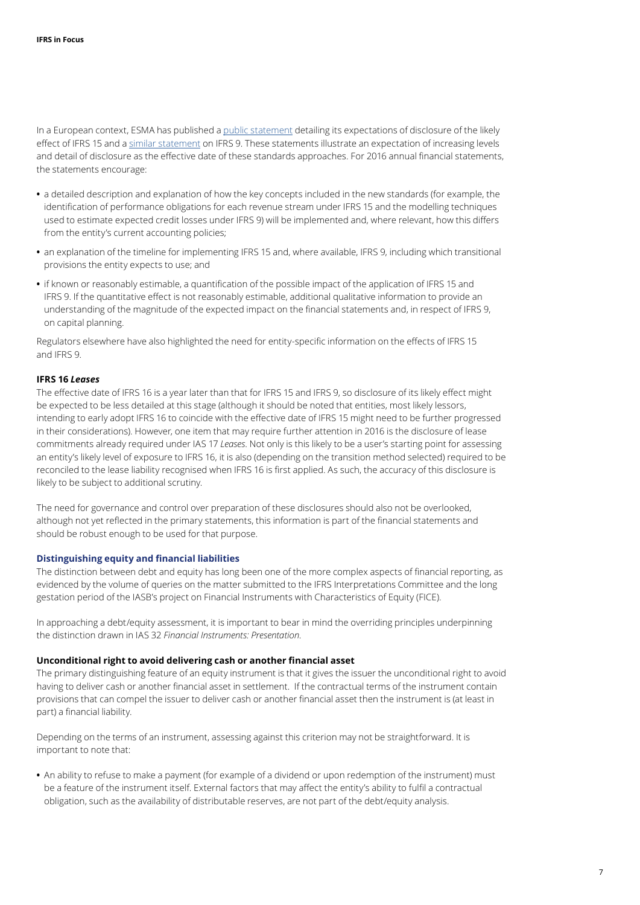In a European context, ESMA has published a [public statement](https://www.esma.europa.eu/sites/default/files/library/2016-1148_public_statement_ifrs_15.pdf) detailing its expectations of disclosure of the likely effect of IFRS 15 and a [similar statement](https://www.esma.europa.eu/sites/default/files/library/2016-1563_public_statement-issues_on_implementation_of_ifrs_9.pdf) on IFRS 9. These statements illustrate an expectation of increasing levels and detail of disclosure as the effective date of these standards approaches. For 2016 annual financial statements, the statements encourage:

- **•** a detailed description and explanation of how the key concepts included in the new standards (for example, the identification of performance obligations for each revenue stream under IFRS 15 and the modelling techniques used to estimate expected credit losses under IFRS 9) will be implemented and, where relevant, how this differs from the entity's current accounting policies;
- **•** an explanation of the timeline for implementing IFRS 15 and, where available, IFRS 9, including which transitional provisions the entity expects to use; and
- **•** if known or reasonably estimable, a quantification of the possible impact of the application of IFRS 15 and IFRS 9. If the quantitative effect is not reasonably estimable, additional qualitative information to provide an understanding of the magnitude of the expected impact on the financial statements and, in respect of IFRS 9, on capital planning.

Regulators elsewhere have also highlighted the need for entity-specific information on the effects of IFRS 15 and IFRS 9.

#### **IFRS 16** *Leases*

The effective date of IFRS 16 is a year later than that for IFRS 15 and IFRS 9, so disclosure of its likely effect might be expected to be less detailed at this stage (although it should be noted that entities, most likely lessors, intending to early adopt IFRS 16 to coincide with the effective date of IFRS 15 might need to be further progressed in their considerations). However, one item that may require further attention in 2016 is the disclosure of lease commitments already required under IAS 17 *Leases*. Not only is this likely to be a user's starting point for assessing an entity's likely level of exposure to IFRS 16, it is also (depending on the transition method selected) required to be reconciled to the lease liability recognised when IFRS 16 is first applied. As such, the accuracy of this disclosure is likely to be subject to additional scrutiny.

The need for governance and control over preparation of these disclosures should also not be overlooked, although not yet reflected in the primary statements, this information is part of the financial statements and should be robust enough to be used for that purpose.

#### <span id="page-6-0"></span>**Distinguishing equity and financial liabilities**

The distinction between debt and equity has long been one of the more complex aspects of financial reporting, as evidenced by the volume of queries on the matter submitted to the IFRS Interpretations Committee and the long gestation period of the IASB's project on Financial Instruments with Characteristics of Equity (FICE).

In approaching a debt/equity assessment, it is important to bear in mind the overriding principles underpinning the distinction drawn in IAS 32 *Financial Instruments: Presentation*.

#### **Unconditional right to avoid delivering cash or another financial asset**

The primary distinguishing feature of an equity instrument is that it gives the issuer the unconditional right to avoid having to deliver cash or another financial asset in settlement. If the contractual terms of the instrument contain provisions that can compel the issuer to deliver cash or another financial asset then the instrument is (at least in part) a financial liability.

Depending on the terms of an instrument, assessing against this criterion may not be straightforward. It is important to note that:

**•** An ability to refuse to make a payment (for example of a dividend or upon redemption of the instrument) must be a feature of the instrument itself. External factors that may affect the entity's ability to fulfil a contractual obligation, such as the availability of distributable reserves, are not part of the debt/equity analysis.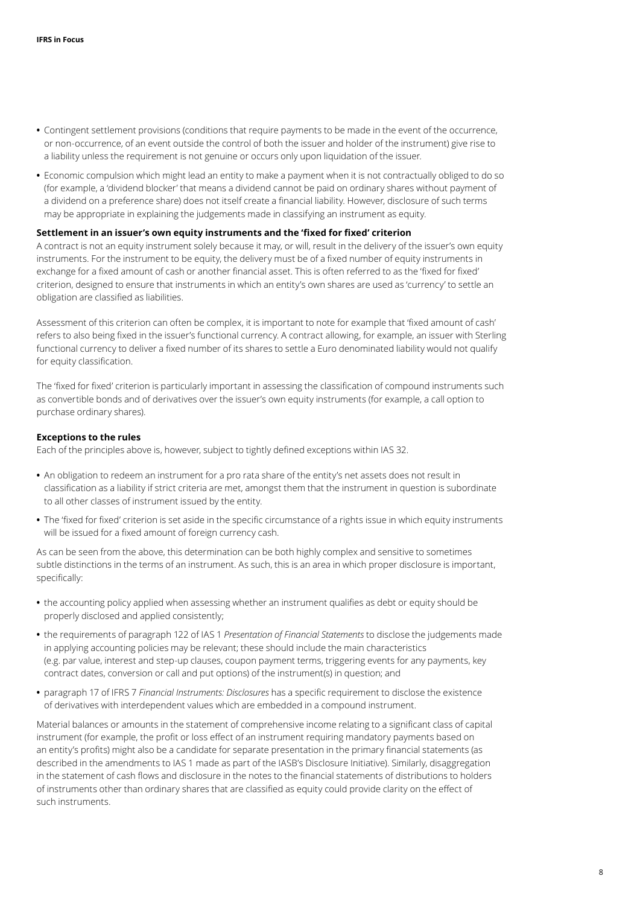- **•** Contingent settlement provisions (conditions that require payments to be made in the event of the occurrence, or non-occurrence, of an event outside the control of both the issuer and holder of the instrument) give rise to a liability unless the requirement is not genuine or occurs only upon liquidation of the issuer.
- **•** Economic compulsion which might lead an entity to make a payment when it is not contractually obliged to do so (for example, a 'dividend blocker' that means a dividend cannot be paid on ordinary shares without payment of a dividend on a preference share) does not itself create a financial liability. However, disclosure of such terms may be appropriate in explaining the judgements made in classifying an instrument as equity.

#### **Settlement in an issuer's own equity instruments and the 'fixed for fixed' criterion**

A contract is not an equity instrument solely because it may, or will, result in the delivery of the issuer's own equity instruments. For the instrument to be equity, the delivery must be of a fixed number of equity instruments in exchange for a fixed amount of cash or another financial asset. This is often referred to as the 'fixed for fixed' criterion, designed to ensure that instruments in which an entity's own shares are used as 'currency' to settle an obligation are classified as liabilities.

Assessment of this criterion can often be complex, it is important to note for example that 'fixed amount of cash' refers to also being fixed in the issuer's functional currency. A contract allowing, for example, an issuer with Sterling functional currency to deliver a fixed number of its shares to settle a Euro denominated liability would not qualify for equity classification.

The 'fixed for fixed' criterion is particularly important in assessing the classification of compound instruments such as convertible bonds and of derivatives over the issuer's own equity instruments (for example, a call option to purchase ordinary shares).

#### **Exceptions to the rules**

Each of the principles above is, however, subject to tightly defined exceptions within IAS 32.

- **•** An obligation to redeem an instrument for a pro rata share of the entity's net assets does not result in classification as a liability if strict criteria are met, amongst them that the instrument in question is subordinate to all other classes of instrument issued by the entity.
- **•** The 'fixed for fixed' criterion is set aside in the specific circumstance of a rights issue in which equity instruments will be issued for a fixed amount of foreign currency cash.

As can be seen from the above, this determination can be both highly complex and sensitive to sometimes subtle distinctions in the terms of an instrument. As such, this is an area in which proper disclosure is important, specifically:

- **•** the accounting policy applied when assessing whether an instrument qualifies as debt or equity should be properly disclosed and applied consistently;
- **•** the requirements of paragraph 122 of IAS 1 *Presentation of Financial Statements* to disclose the judgements made in applying accounting policies may be relevant; these should include the main characteristics (e.g. par value, interest and step-up clauses, coupon payment terms, triggering events for any payments, key contract dates, conversion or call and put options) of the instrument(s) in question; and
- **•** paragraph 17 of IFRS 7 *Financial Instruments: Disclosures* has a specific requirement to disclose the existence of derivatives with interdependent values which are embedded in a compound instrument.

Material balances or amounts in the statement of comprehensive income relating to a significant class of capital instrument (for example, the profit or loss effect of an instrument requiring mandatory payments based on an entity's profits) might also be a candidate for separate presentation in the primary financial statements (as described in the amendments to IAS 1 made as part of the IASB's Disclosure Initiative). Similarly, disaggregation in the statement of cash flows and disclosure in the notes to the financial statements of distributions to holders of instruments other than ordinary shares that are classified as equity could provide clarity on the effect of such instruments.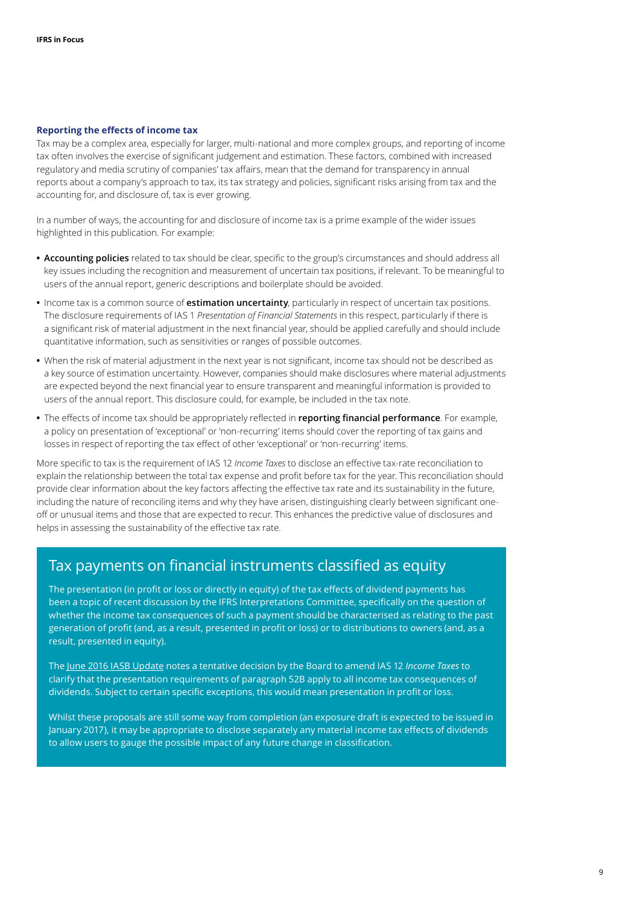#### <span id="page-8-0"></span>**Reporting the effects of income tax**

Tax may be a complex area, especially for larger, multi-national and more complex groups, and reporting of income tax often involves the exercise of significant judgement and estimation. These factors, combined with increased regulatory and media scrutiny of companies' tax affairs, mean that the demand for transparency in annual reports about a company's approach to tax, its tax strategy and policies, significant risks arising from tax and the accounting for, and disclosure of, tax is ever growing.

In a number of ways, the accounting for and disclosure of income tax is a prime example of the wider issues highlighted in this publication. For example:

- **• Accounting policies** related to tax should be clear, specific to the group's circumstances and should address all key issues including the recognition and measurement of uncertain tax positions, if relevant. To be meaningful to users of the annual report, generic descriptions and boilerplate should be avoided.
- **•** Income tax is a common source of **estimation uncertainty**, particularly in respect of uncertain tax positions. The disclosure requirements of IAS 1 *Presentation of Financial Statements* in this respect, particularly if there is a significant risk of material adjustment in the next financial year, should be applied carefully and should include quantitative information, such as sensitivities or ranges of possible outcomes.
- **•** When the risk of material adjustment in the next year is not significant, income tax should not be described as a key source of estimation uncertainty. However, companies should make disclosures where material adjustments are expected beyond the next financial year to ensure transparent and meaningful information is provided to users of the annual report. This disclosure could, for example, be included in the tax note.
- **•** The effects of income tax should be appropriately reflected in **reporting financial performance**. For example, a policy on presentation of 'exceptional' or 'non-recurring' items should cover the reporting of tax gains and losses in respect of reporting the tax effect of other 'exceptional' or 'non-recurring' items.

More specific to tax is the requirement of IAS 12 *Income Taxes* to disclose an effective tax-rate reconciliation to explain the relationship between the total tax expense and profit before tax for the year. This reconciliation should provide clear information about the key factors affecting the effective tax rate and its sustainability in the future, including the nature of reconciling items and why they have arisen, distinguishing clearly between significant oneoff or unusual items and those that are expected to recur. This enhances the predictive value of disclosures and helps in assessing the sustainability of the effective tax rate.

## Tax payments on financial instruments classified as equity

The presentation (in profit or loss or directly in equity) of the tax effects of dividend payments has been a topic of recent discussion by the IFRS Interpretations Committee, specifically on the question of whether the income tax consequences of such a payment should be characterised as relating to the past generation of profit (and, as a result, presented in profit or loss) or to distributions to owners (and, as a result, presented in equity).

The [June 2016 IASB Update](https://s3.amazonaws.com/ifrswebcontent/2016/IASB/June/IASB_June_Update.html) notes a tentative decision by the Board to amend IAS 12 *Income Taxes* to clarify that the presentation requirements of paragraph 52B apply to all income tax consequences of dividends. Subject to certain specific exceptions, this would mean presentation in profit or loss.

Whilst these proposals are still some way from completion (an exposure draft is expected to be issued in January 2017), it may be appropriate to disclose separately any material income tax effects of dividends to allow users to gauge the possible impact of any future change in classification.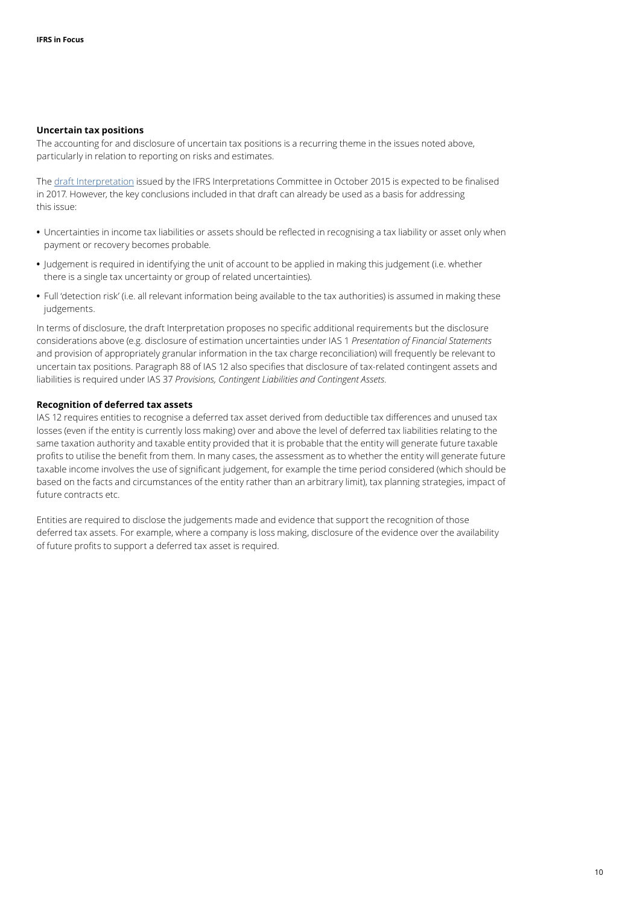#### **Uncertain tax positions**

The accounting for and disclosure of uncertain tax positions is a recurring theme in the issues noted above, particularly in relation to reporting on risks and estimates.

The [draft Interpretation](http://www.ifrs.org/Current-Projects/IASB-Projects/IAS-12-Measurement-income-tax-uncertain-tax-position/Pages/Home.aspx) issued by the IFRS Interpretations Committee in October 2015 is expected to be finalised in 2017. However, the key conclusions included in that draft can already be used as a basis for addressing this issue:

- **•** Uncertainties in income tax liabilities or assets should be reflected in recognising a tax liability or asset only when payment or recovery becomes probable.
- **•** Judgement is required in identifying the unit of account to be applied in making this judgement (i.e. whether there is a single tax uncertainty or group of related uncertainties).
- **•** Full 'detection risk' (i.e. all relevant information being available to the tax authorities) is assumed in making these judgements.

In terms of disclosure, the draft Interpretation proposes no specific additional requirements but the disclosure considerations above (e.g. disclosure of estimation uncertainties under IAS 1 *Presentation of Financial Statements* and provision of appropriately granular information in the tax charge reconciliation) will frequently be relevant to uncertain tax positions. Paragraph 88 of IAS 12 also specifies that disclosure of tax-related contingent assets and liabilities is required under IAS 37 *Provisions, Contingent Liabilities and Contingent Assets*.

#### **Recognition of deferred tax assets**

IAS 12 requires entities to recognise a deferred tax asset derived from deductible tax differences and unused tax losses (even if the entity is currently loss making) over and above the level of deferred tax liabilities relating to the same taxation authority and taxable entity provided that it is probable that the entity will generate future taxable profits to utilise the benefit from them. In many cases, the assessment as to whether the entity will generate future taxable income involves the use of significant judgement, for example the time period considered (which should be based on the facts and circumstances of the entity rather than an arbitrary limit), tax planning strategies, impact of future contracts etc.

Entities are required to disclose the judgements made and evidence that support the recognition of those deferred tax assets. For example, where a company is loss making, disclosure of the evidence over the availability of future profits to support a deferred tax asset is required.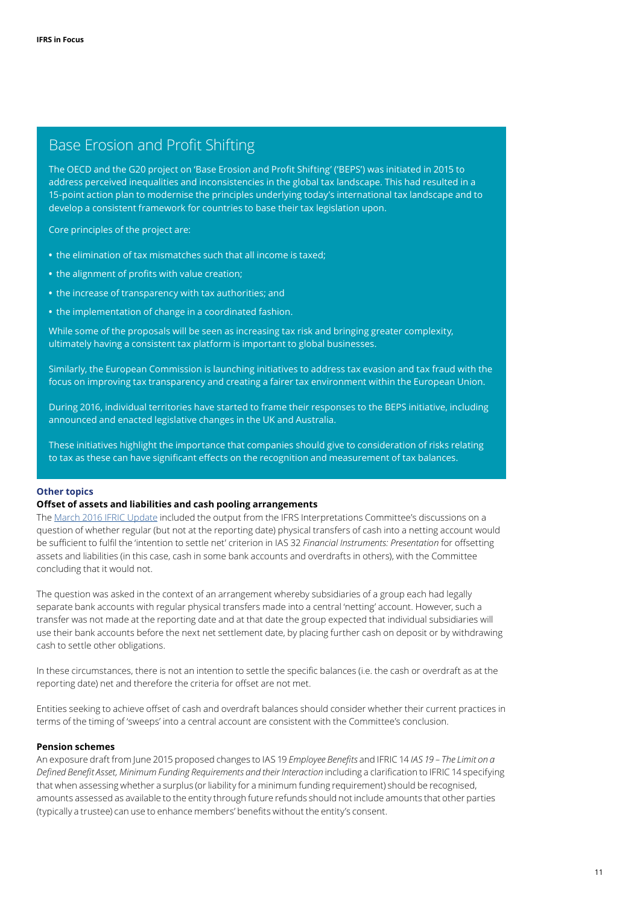## Base Erosion and Profit Shifting

The OECD and the G20 project on 'Base Erosion and Profit Shifting' ('BEPS') was initiated in 2015 to address perceived inequalities and inconsistencies in the global tax landscape. This had resulted in a 15-point action plan to modernise the principles underlying today's international tax landscape and to develop a consistent framework for countries to base their tax legislation upon.

Core principles of the project are:

- **•** the elimination of tax mismatches such that all income is taxed;
- **•** the alignment of profits with value creation;
- **•** the increase of transparency with tax authorities; and
- **•** the implementation of change in a coordinated fashion.

While some of the proposals will be seen as increasing tax risk and bringing greater complexity, ultimately having a consistent tax platform is important to global businesses.

Similarly, the European Commission is launching initiatives to address tax evasion and tax fraud with the focus on improving tax transparency and creating a fairer tax environment within the European Union.

During 2016, individual territories have started to frame their responses to the BEPS initiative, including announced and enacted legislative changes in the UK and Australia.

These initiatives highlight the importance that companies should give to consideration of risks relating to tax as these can have significant effects on the recognition and measurement of tax balances.

#### <span id="page-10-0"></span>**Other topics**

#### **Offset of assets and liabilities and cash pooling arrangements**

The [March 2016 IFRIC Update](https://s3.amazonaws.com/ifrswebcontent/2016/IFRIC/March/IFRIC-Update-March-2016.html) included the output from the IFRS Interpretations Committee's discussions on a question of whether regular (but not at the reporting date) physical transfers of cash into a netting account would be sufficient to fulfil the 'intention to settle net' criterion in IAS 32 *Financial Instruments: Presentation* for offsetting assets and liabilities (in this case, cash in some bank accounts and overdrafts in others), with the Committee concluding that it would not.

The question was asked in the context of an arrangement whereby subsidiaries of a group each had legally separate bank accounts with regular physical transfers made into a central 'netting' account. However, such a transfer was not made at the reporting date and at that date the group expected that individual subsidiaries will use their bank accounts before the next net settlement date, by placing further cash on deposit or by withdrawing cash to settle other obligations.

In these circumstances, there is not an intention to settle the specific balances (i.e. the cash or overdraft as at the reporting date) net and therefore the criteria for offset are not met.

Entities seeking to achieve offset of cash and overdraft balances should consider whether their current practices in terms of the timing of 'sweeps' into a central account are consistent with the Committee's conclusion.

#### **Pension schemes**

An exposure draft from June 2015 proposed changes to IAS 19 *Employee Benefits* and IFRIC 14 *IAS 19 – The Limit on a Defined Benefit Asset, Minimum Funding Requirements and their Interaction* including a clarification to IFRIC 14 specifying that when assessing whether a surplus (or liability for a minimum funding requirement) should be recognised, amounts assessed as available to the entity through future refunds should not include amounts that other parties (typically a trustee) can use to enhance members' benefits without the entity's consent.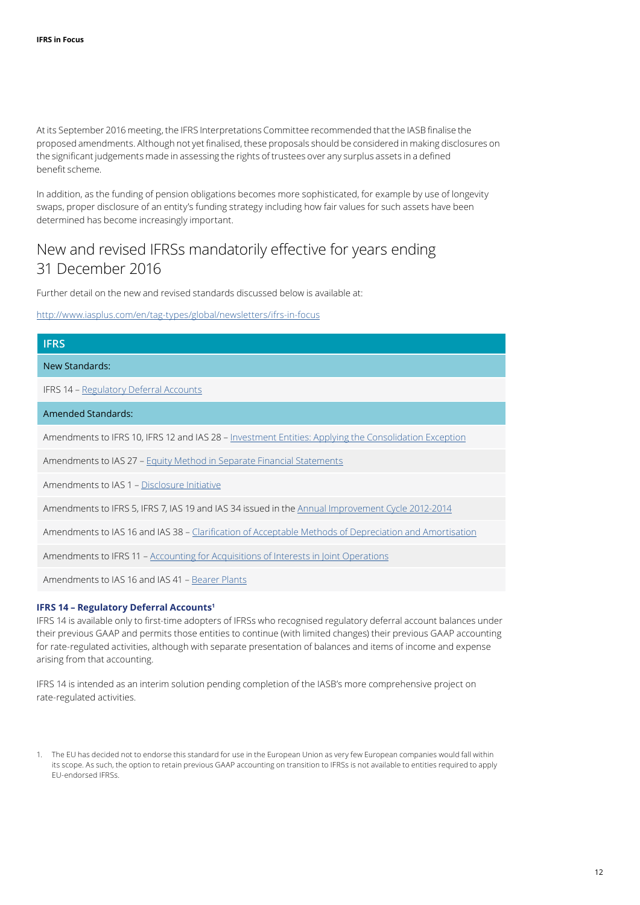At its September 2016 meeting, the IFRS Interpretations Committee recommended that the IASB finalise the proposed amendments. Although not yet finalised, these proposals should be considered in making disclosures on the significant judgements made in assessing the rights of trustees over any surplus assets in a defined benefit scheme.

In addition, as the funding of pension obligations becomes more sophisticated, for example by use of longevity swaps, proper disclosure of an entity's funding strategy including how fair values for such assets have been determined has become increasingly important.

## <span id="page-11-0"></span>New and revised IFRSs mandatorily effective for years ending 31 December 2016

Further detail on the new and revised standards discussed below is available at:

<http://www.iasplus.com/en/tag-types/global/newsletters/ifrs-in-focus>

| <b>IFRS</b>                                                                                            |
|--------------------------------------------------------------------------------------------------------|
| New Standards:                                                                                         |
| <b>IFRS 14 - Regulatory Deferral Accounts</b>                                                          |
| Amended Standards:                                                                                     |
| Amendments to IFRS 10, IFRS 12 and IAS 28 - Investment Entities: Applying the Consolidation Exception  |
| Amendments to IAS 27 - Equity Method in Separate Financial Statements                                  |
| Amendments to IAS 1 – Disclosure Initiative                                                            |
| Amendments to IFRS 5, IFRS 7, IAS 19 and IAS 34 issued in the Annual Improvement Cycle 2012-2014       |
| Amendments to IAS 16 and IAS 38 - Clarification of Acceptable Methods of Depreciation and Amortisation |
| Amendments to IFRS 11 – Accounting for Acquisitions of Interests in Joint Operations                   |

Amendments to IAS 16 and IAS 41 – [Bearer Plants](http://www.iasplus.com/en/publications/global/ifrs-in-focus/2014/ias-41-ias-16)

#### **IFRS 14 – Regulatory Deferral Accounts<sup>1</sup>**

IFRS 14 is available only to first-time adopters of IFRSs who recognised regulatory deferral account balances under their previous GAAP and permits those entities to continue (with limited changes) their previous GAAP accounting for rate-regulated activities, although with separate presentation of balances and items of income and expense arising from that accounting.

IFRS 14 is intended as an interim solution pending completion of the IASB's more comprehensive project on rate-regulated activities.

<sup>1.</sup> The EU has decided not to endorse this standard for use in the European Union as very few European companies would fall within its scope. As such, the option to retain previous GAAP accounting on transition to IFRSs is not available to entities required to apply EU-endorsed IFRSs.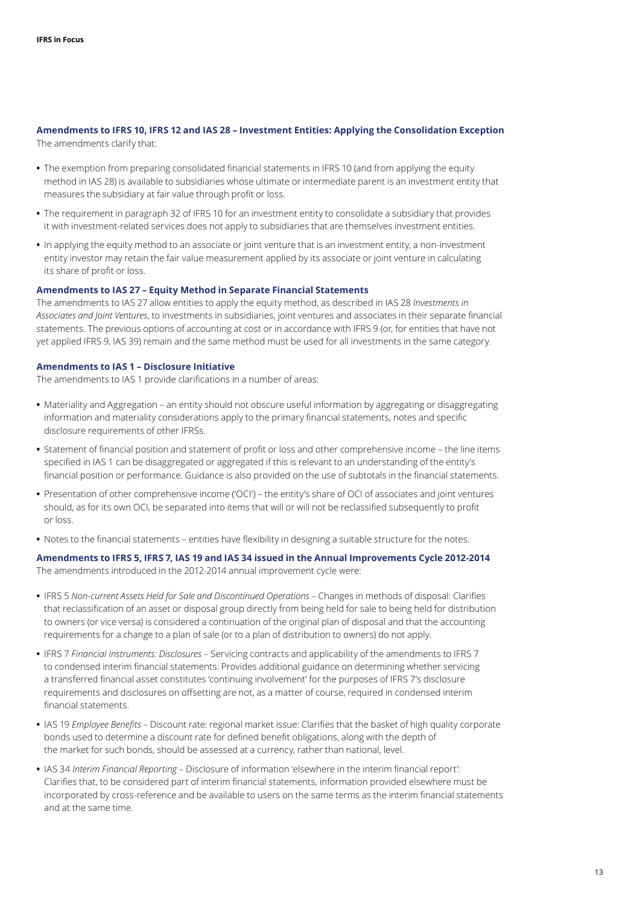## **Amendments to IFRS 10, IFRS 12 and IAS 28 – Investment Entities: Applying the Consolidation Exception**

The amendments clarify that:

- **•** The exemption from preparing consolidated financial statements in IFRS 10 (and from applying the equity method in IAS 28) is available to subsidiaries whose ultimate or intermediate parent is an investment entity that measures the subsidiary at fair value through profit or loss.
- **•** The requirement in paragraph 32 of IFRS 10 for an investment entity to consolidate a subsidiary that provides it with investment-related services does not apply to subsidiaries that are themselves investment entities.
- **•** In applying the equity method to an associate or joint venture that is an investment entity, a non-investment entity investor may retain the fair value measurement applied by its associate or joint venture in calculating its share of profit or loss.

#### **Amendments to IAS 27 – Equity Method in Separate Financial Statements**

The amendments to IAS 27 allow entities to apply the equity method, as described in IAS 28 *Investments in Associates and Joint Ventures*, to investments in subsidiaries, joint ventures and associates in their separate financial statements. The previous options of accounting at cost or in accordance with IFRS 9 (or, for entities that have not yet applied IFRS 9, IAS 39) remain and the same method must be used for all investments in the same category.

#### **Amendments to IAS 1 – Disclosure Initiative**

The amendments to IAS 1 provide clarifications in a number of areas:

- **•** Materiality and Aggregation an entity should not obscure useful information by aggregating or disaggregating information and materiality considerations apply to the primary financial statements, notes and specific disclosure requirements of other IFRSs.
- **•** Statement of financial position and statement of profit or loss and other comprehensive income the line items specified in IAS 1 can be disaggregated or aggregated if this is relevant to an understanding of the entity's financial position or performance. Guidance is also provided on the use of subtotals in the financial statements.
- **•** Presentation of other comprehensive income ('OCI') the entity's share of OCI of associates and joint ventures should, as for its own OCI, be separated into items that will or will not be reclassified subsequently to profit or loss.
- **•** Notes to the financial statements entities have flexibility in designing a suitable structure for the notes.

## **Amendments to IFRS 5, IFRS 7, IAS 19 and IAS 34 issued in the Annual Improvements Cycle 2012-2014**

The amendments introduced in the 2012-2014 annual improvement cycle were:

- **•** IFRS 5 *Non-current Assets Held for Sale and Discontinued Operations* Changes in methods of disposal: Clarifies that reclassification of an asset or disposal group directly from being held for sale to being held for distribution to owners (or vice versa) is considered a continuation of the original plan of disposal and that the accounting requirements for a change to a plan of sale (or to a plan of distribution to owners) do not apply.
- **•** IFRS 7 *Financial Instruments: Disclosures* Servicing contracts and applicability of the amendments to IFRS 7 to condensed interim financial statements: Provides additional guidance on determining whether servicing a transferred financial asset constitutes 'continuing involvement' for the purposes of IFRS 7's disclosure requirements and disclosures on offsetting are not, as a matter of course, required in condensed interim financial statements.
- **•** IAS 19 *Employee Benefits* Discount rate: regional market issue: Clarifies that the basket of high quality corporate bonds used to determine a discount rate for defined benefit obligations, along with the depth of the market for such bonds, should be assessed at a currency, rather than national, level.
- **•** IAS 34 *Interim Financial Reporting* Disclosure of information 'elsewhere in the interim financial report': Clarifies that, to be considered part of interim financial statements, information provided elsewhere must be incorporated by cross-reference and be available to users on the same terms as the interim financial statements and at the same time.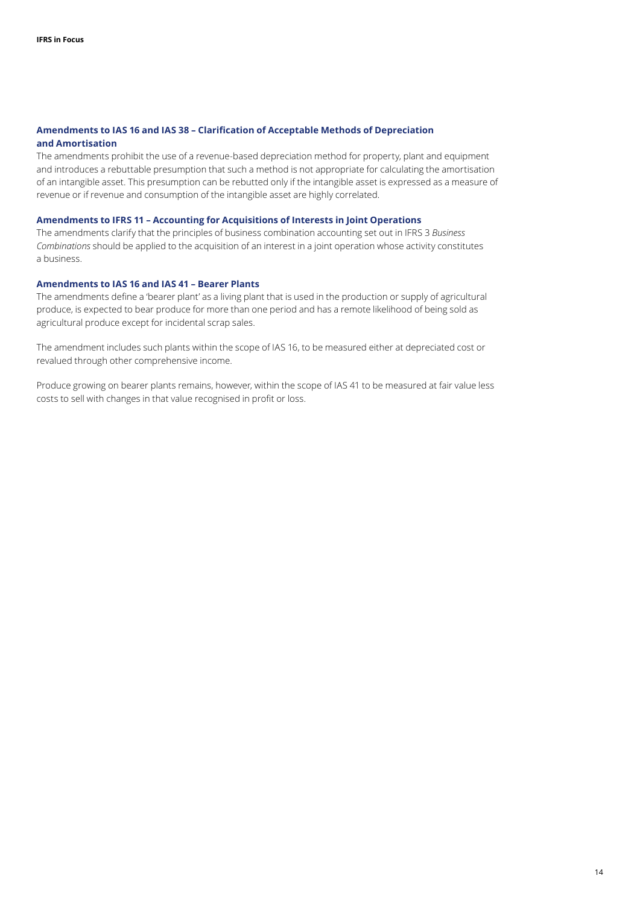#### **Amendments to IAS 16 and IAS 38 – Clarification of Acceptable Methods of Depreciation and Amortisation**

The amendments prohibit the use of a revenue-based depreciation method for property, plant and equipment and introduces a rebuttable presumption that such a method is not appropriate for calculating the amortisation of an intangible asset. This presumption can be rebutted only if the intangible asset is expressed as a measure of revenue or if revenue and consumption of the intangible asset are highly correlated.

#### **Amendments to IFRS 11 – Accounting for Acquisitions of Interests in Joint Operations**

The amendments clarify that the principles of business combination accounting set out in IFRS 3 *Business Combinations* should be applied to the acquisition of an interest in a joint operation whose activity constitutes a business.

#### **Amendments to IAS 16 and IAS 41 – Bearer Plants**

The amendments define a 'bearer plant' as a living plant that is used in the production or supply of agricultural produce, is expected to bear produce for more than one period and has a remote likelihood of being sold as agricultural produce except for incidental scrap sales.

The amendment includes such plants within the scope of IAS 16, to be measured either at depreciated cost or revalued through other comprehensive income.

Produce growing on bearer plants remains, however, within the scope of IAS 41 to be measured at fair value less costs to sell with changes in that value recognised in profit or loss.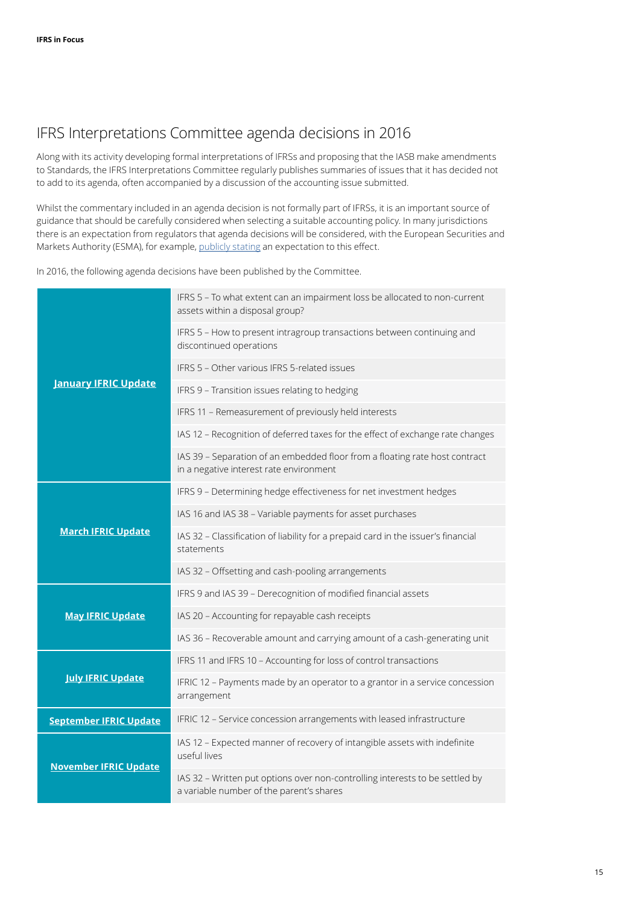## <span id="page-14-0"></span>IFRS Interpretations Committee agenda decisions in 2016

Along with its activity developing formal interpretations of IFRSs and proposing that the IASB make amendments to Standards, the IFRS Interpretations Committee regularly publishes summaries of issues that it has decided not to add to its agenda, often accompanied by a discussion of the accounting issue submitted.

Whilst the commentary included in an agenda decision is not formally part of IFRSs, it is an important source of guidance that should be carefully considered when selecting a suitable accounting policy. In many jurisdictions there is an expectation from regulators that agenda decisions will be considered, with the European Securities and Markets Authority (ESMA), for example, [publicly stating](https://www.esma.europa.eu/sites/default/files/library/2015/11/2011_211.pdf) an expectation to this effect.

In 2016, the following agenda decisions have been published by the Committee.

|                               | IFRS 5 - To what extent can an impairment loss be allocated to non-current<br>assets within a disposal group?            |
|-------------------------------|--------------------------------------------------------------------------------------------------------------------------|
| <b>January IFRIC Update</b>   | IFRS 5 - How to present intragroup transactions between continuing and<br>discontinued operations                        |
|                               | IFRS 5 - Other various IFRS 5-related issues                                                                             |
|                               | IFRS 9 - Transition issues relating to hedging                                                                           |
|                               | IFRS 11 - Remeasurement of previously held interests                                                                     |
|                               | IAS 12 - Recognition of deferred taxes for the effect of exchange rate changes                                           |
|                               | IAS 39 - Separation of an embedded floor from a floating rate host contract<br>in a negative interest rate environment   |
| <b>March IFRIC Update</b>     | IFRS 9 - Determining hedge effectiveness for net investment hedges                                                       |
|                               | IAS 16 and IAS 38 - Variable payments for asset purchases                                                                |
|                               | IAS 32 - Classification of liability for a prepaid card in the issuer's financial<br>statements                          |
|                               | IAS 32 - Offsetting and cash-pooling arrangements                                                                        |
| <b>May IFRIC Update</b>       | IFRS 9 and IAS 39 - Derecognition of modified financial assets                                                           |
|                               | IAS 20 - Accounting for repayable cash receipts                                                                          |
|                               | IAS 36 - Recoverable amount and carrying amount of a cash-generating unit                                                |
| <b>July IFRIC Update</b>      | IFRS 11 and IFRS 10 - Accounting for loss of control transactions                                                        |
|                               | IFRIC 12 - Payments made by an operator to a grantor in a service concession<br>arrangement                              |
| <b>September IFRIC Update</b> | IFRIC 12 - Service concession arrangements with leased infrastructure                                                    |
| <b>November IFRIC Update</b>  | IAS 12 - Expected manner of recovery of intangible assets with indefinite<br>useful lives                                |
|                               | IAS 32 - Written put options over non-controlling interests to be settled by<br>a variable number of the parent's shares |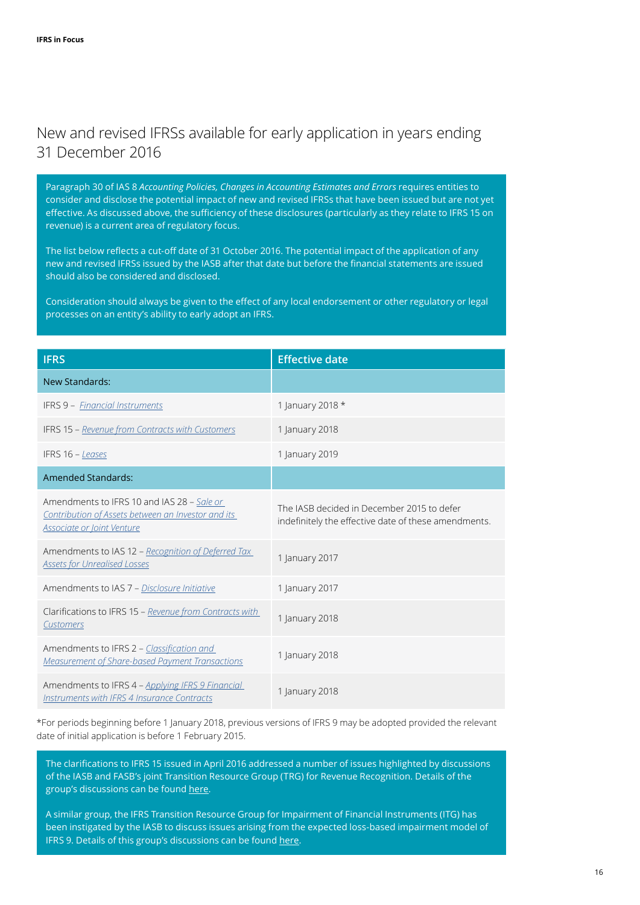## <span id="page-15-0"></span>New and revised IFRSs available for early application in years ending 31 December 2016

Paragraph 30 of IAS 8 *Accounting Policies, Changes in Accounting Estimates and Errors* requires entities to consider and disclose the potential impact of new and revised IFRSs that have been issued but are not yet effective. As discussed above, the sufficiency of these disclosures (particularly as they relate to IFRS 15 on revenue) is a current area of regulatory focus.

The list below reflects a cut-off date of 31 October 2016. The potential impact of the application of any new and revised IFRSs issued by the IASB after that date but before the financial statements are issued should also be considered and disclosed.

Consideration should always be given to the effect of any local endorsement or other regulatory or legal processes on an entity's ability to early adopt an IFRS.

| <b>IFRS</b>                                                                                                                    | <b>Effective date</b>                                                                              |
|--------------------------------------------------------------------------------------------------------------------------------|----------------------------------------------------------------------------------------------------|
| <b>New Standards:</b>                                                                                                          |                                                                                                    |
| <b>IFRS 9 - Financial Instruments</b>                                                                                          | 1 January 2018 *                                                                                   |
| IFRS 15 - Revenue from Contracts with Customers                                                                                | 1 January 2018                                                                                     |
| IFRS 16 - Leases                                                                                                               | 1 January 2019                                                                                     |
| <b>Amended Standards:</b>                                                                                                      |                                                                                                    |
| Amendments to IFRS 10 and IAS 28 - Sale or<br>Contribution of Assets between an Investor and its<br>Associate or Joint Venture | The JASB decided in December 2015 to defer<br>indefinitely the effective date of these amendments. |
| Amendments to IAS 12 – Recognition of Deferred Tax<br><b>Assets for Unrealised Losses</b>                                      | 1 January 2017                                                                                     |
| Amendments to IAS 7 - Disclosure Initiative                                                                                    | 1 January 2017                                                                                     |
| Clarifications to IFRS 15 - Revenue from Contracts with<br>Customers                                                           | 1 January 2018                                                                                     |
| Amendments to IFRS 2 - Classification and<br><b>Measurement of Share-based Payment Transactions</b>                            | 1 January 2018                                                                                     |
| Amendments to IFRS 4 - Applying IFRS 9 Financial<br><b>Instruments with IFRS 4 Insurance Contracts</b>                         | 1 January 2018                                                                                     |

\*For periods beginning before 1 January 2018, previous versions of IFRS 9 may be adopted provided the relevant date of initial application is before 1 February 2015.

The clarifications to IFRS 15 issued in April 2016 addressed a number of issues highlighted by discussions of the IASB and FASB's joint Transition Resource Group (TRG) for Revenue Recognition. Details of the group's discussions can be found [here](http://www.iasplus.com/en/resources/ifrsf/advisory/trg).

A similar group, the IFRS Transition Resource Group for Impairment of Financial Instruments (ITG) has been instigated by the IASB to discuss issues arising from the expected loss-based impairment model of IFRS 9. Details of this group's discussions can be found [here](http://www.iasplus.com/en/resources/ifrsf/advisory/itg).